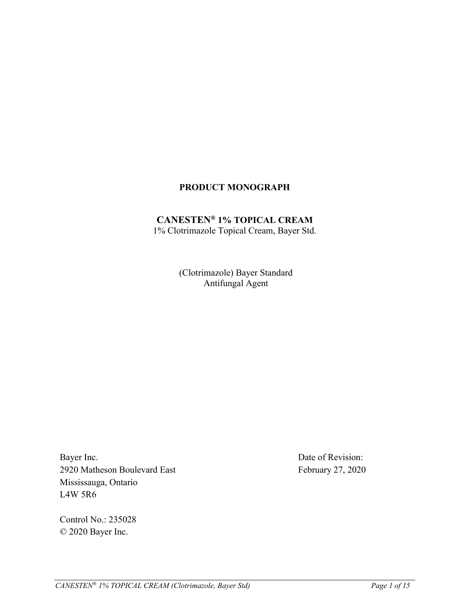## **PRODUCT MONOGRAPH**

### **CANESTEN® 1% TOPICAL CREAM** 1% Clotrimazole Topical Cream, Bayer Std.

(Clotrimazole) Bayer Standard Antifungal Agent

Bayer Inc. 2920 Matheson Boulevard East Mississauga, Ontario L4W 5R6

Control No.: 235028 © 2020 Bayer Inc.

Date of Revision: February 27, 2020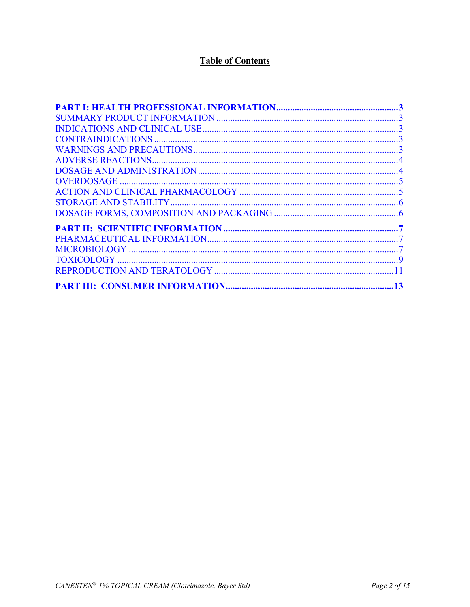# **Table of Contents**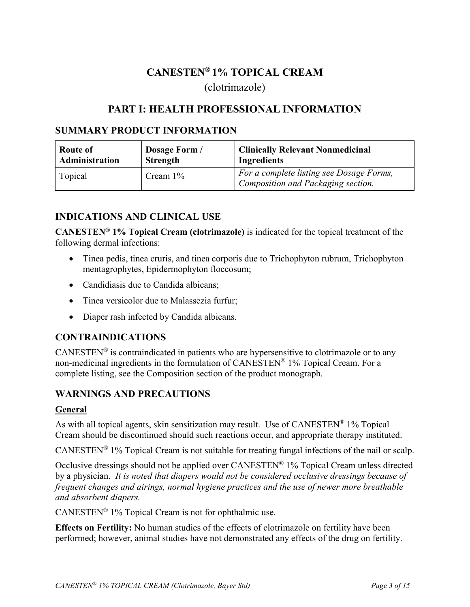# **CANESTEN® 1% TOPICAL CREAM** (clotrimazole)

# **PART I: HEALTH PROFESSIONAL INFORMATION**

## <span id="page-2-0"></span>**SUMMARY PRODUCT INFORMATION**

| Route of       | Dosage Form /   | <b>Clinically Relevant Nonmedicinal</b>                                        |
|----------------|-----------------|--------------------------------------------------------------------------------|
| Administration | <b>Strength</b> | <b>Ingredients</b>                                                             |
| Topical        | Cream $1\%$     | For a complete listing see Dosage Forms,<br>Composition and Packaging section. |

## **INDICATIONS AND CLINICAL USE**

**CANESTEN® 1% Topical Cream (clotrimazole)** is indicated for the topical treatment of the following dermal infections:

- Tinea pedis, tinea cruris, and tinea corporis due to Trichophyton rubrum, Trichophyton mentagrophytes, Epidermophyton floccosum;
- Candidiasis due to Candida albicans:
- Tinea versicolor due to Malassezia furfur;
- Diaper rash infected by Candida albicans.

## **CONTRAINDICATIONS**

 $CANESTEN^{\circledast}$  is contraindicated in patients who are hypersensitive to clotrimazole or to any non-medicinal ingredients in the formulation of CANESTEN® 1% Topical Cream. For a complete listing, see the Composition section of the product monograph.

## **WARNINGS AND PRECAUTIONS**

#### **General**

As with all topical agents, skin sensitization may result. Use of  $CANESTEN^{\circledast}$  1% Topical Cream should be discontinued should such reactions occur, and appropriate therapy instituted.

CANESTEN® 1% Topical Cream is not suitable for treating fungal infections of the nail or scalp.

Occlusive dressings should not be applied over CANESTEN® 1% Topical Cream unless directed by a physician. *It is noted that diapers would not be considered occlusive dressings because of frequent changes and airings, normal hygiene practices and the use of newer more breathable and absorbent diapers.*

CANESTEN® 1% Topical Cream is not for ophthalmic use.

**Effects on Fertility:** No human studies of the effects of clotrimazole on fertility have been performed; however, animal studies have not demonstrated any effects of the drug on fertility.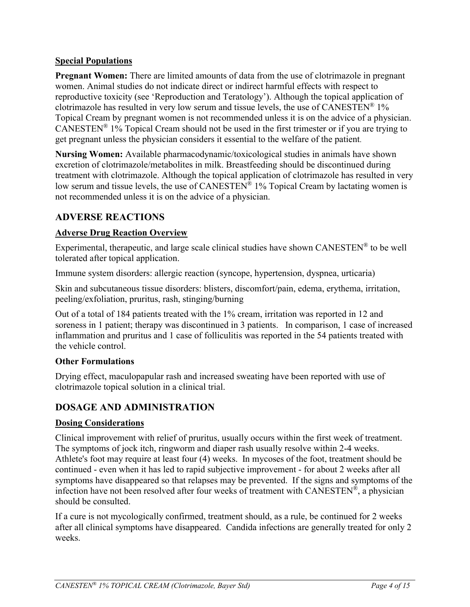### <span id="page-3-0"></span>**Special Populations**

**Pregnant Women:** There are limited amounts of data from the use of clotrimazole in pregnant women. Animal studies do not indicate direct or indirect harmful effects with respect to reproductive toxicity (see 'Reproduction and Teratology'). Although the topical application of clotrimazole has resulted in very low serum and tissue levels, the use of  $CANESTEN^{\otimes} 1\%$ Topical Cream by pregnant women is not recommended unless it is on the advice of a physician. CANESTEN<sup>®</sup> 1% Topical Cream should not be used in the first trimester or if you are trying to get pregnant unless the physician considers it essential to the welfare of the patient.

**Nursing Women:** Available pharmacodynamic/toxicological studies in animals have shown excretion of clotrimazole/metabolites in milk. Breastfeeding should be discontinued during treatment with clotrimazole. Although the topical application of clotrimazole has resulted in very low serum and tissue levels, the use of  $CANESTEN^{\hat{\otimes}}$  1% Topical Cream by lactating women is not recommended unless it is on the advice of a physician.

## **ADVERSE REACTIONS**

### **Adverse Drug Reaction Overview**

Experimental, therapeutic, and large scale clinical studies have shown CANESTEN® to be well tolerated after topical application.

Immune system disorders: allergic reaction (syncope, hypertension, dyspnea, urticaria)

Skin and subcutaneous tissue disorders: blisters, discomfort/pain, edema, erythema, irritation, peeling/exfoliation, pruritus, rash, stinging/burning

Out of a total of 184 patients treated with the 1% cream, irritation was reported in 12 and soreness in 1 patient; therapy was discontinued in 3 patients. In comparison, 1 case of increased inflammation and pruritus and 1 case of folliculitis was reported in the 54 patients treated with the vehicle control.

#### **Other Formulations**

Drying effect, maculopapular rash and increased sweating have been reported with use of clotrimazole topical solution in a clinical trial.

### **DOSAGE AND ADMINISTRATION**

#### **Dosing Considerations**

Clinical improvement with relief of pruritus, usually occurs within the first week of treatment. The symptoms of jock itch, ringworm and diaper rash usually resolve within 2-4 weeks. Athlete's foot may require at least four (4) weeks. In mycoses of the foot, treatment should be continued - even when it has led to rapid subjective improvement - for about 2 weeks after all symptoms have disappeared so that relapses may be prevented. If the signs and symptoms of the infection have not been resolved after four weeks of treatment with CANESTEN®, a physician should be consulted.

If a cure is not mycologically confirmed, treatment should, as a rule, be continued for 2 weeks after all clinical symptoms have disappeared. Candida infections are generally treated for only 2 weeks.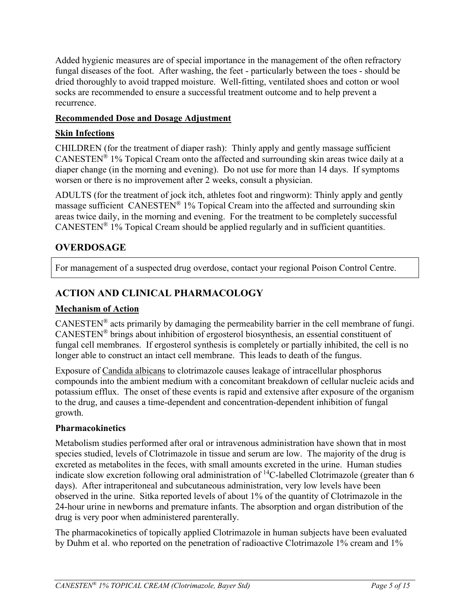<span id="page-4-0"></span>Added hygienic measures are of special importance in the management of the often refractory fungal diseases of the foot. After washing, the feet - particularly between the toes - should be dried thoroughly to avoid trapped moisture. Well-fitting, ventilated shoes and cotton or wool socks are recommended to ensure a successful treatment outcome and to help prevent a recurrence.

### **Recommended Dose and Dosage Adjustment**

## **Skin Infections**

CHILDREN (for the treatment of diaper rash): Thinly apply and gently massage sufficient CANESTEN® 1% Topical Cream onto the affected and surrounding skin areas twice daily at a diaper change (in the morning and evening). Do not use for more than 14 days. If symptoms worsen or there is no improvement after 2 weeks, consult a physician.

ADULTS (for the treatment of jock itch, athletes foot and ringworm): Thinly apply and gently massage sufficient CANESTEN® 1% Topical Cream into the affected and surrounding skin areas twice daily, in the morning and evening. For the treatment to be completely successful  $CANESTEN^{\circledR}$  1% Topical Cream should be applied regularly and in sufficient quantities.

# **OVERDOSAGE**

For management of a suspected drug overdose, contact your regional Poison Control Centre.

# **ACTION AND CLINICAL PHARMACOLOGY**

### **Mechanism of Action**

CANESTEN® acts primarily by damaging the permeability barrier in the cell membrane of fungi. CANESTEN® brings about inhibition of ergosterol biosynthesis, an essential constituent of fungal cell membranes. If ergosterol synthesis is completely or partially inhibited, the cell is no longer able to construct an intact cell membrane. This leads to death of the fungus.

Exposure of Candida albicans to clotrimazole causes leakage of intracellular phosphorus compounds into the ambient medium with a concomitant breakdown of cellular nucleic acids and potassium efflux. The onset of these events is rapid and extensive after exposure of the organism to the drug, and causes a time-dependent and concentration-dependent inhibition of fungal growth.

### **Pharmacokinetics**

Metabolism studies performed after oral or intravenous administration have shown that in most species studied, levels of Clotrimazole in tissue and serum are low. The majority of the drug is excreted as metabolites in the feces, with small amounts excreted in the urine. Human studies indicate slow excretion following oral administration of  $^{14}$ C-labelled Clotrimazole (greater than 6 days). After intraperitoneal and subcutaneous administration, very low levels have been observed in the urine. Sitka reported levels of about 1% of the quantity of Clotrimazole in the 24-hour urine in newborns and premature infants. The absorption and organ distribution of the drug is very poor when administered parenterally.

The pharmacokinetics of topically applied Clotrimazole in human subjects have been evaluated by Duhm et al. who reported on the penetration of radioactive Clotrimazole 1% cream and 1%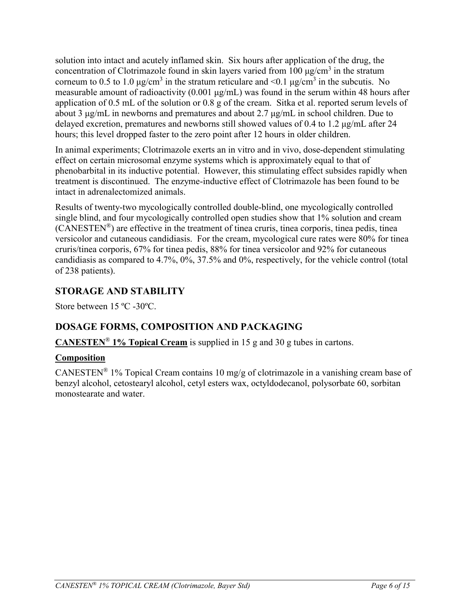<span id="page-5-0"></span>solution into intact and acutely inflamed skin. Six hours after application of the drug, the concentration of Clotrimazole found in skin layers varied from 100  $\mu$ g/cm<sup>3</sup> in the stratum corneum to 0.5 to 1.0  $\mu$ g/cm<sup>3</sup> in the stratum reticulare and <0.1  $\mu$ g/cm<sup>3</sup> in the subcutis. No measurable amount of radioactivity (0.001 μg/mL) was found in the serum within 48 hours after application of 0.5 mL of the solution or 0.8 g of the cream. Sitka et al. reported serum levels of about 3 μg/mL in newborns and prematures and about 2.7 μg/mL in school children. Due to delayed excretion, prematures and newborns still showed values of 0.4 to 1.2 μg/mL after 24 hours; this level dropped faster to the zero point after 12 hours in older children.

In animal experiments; Clotrimazole exerts an in vitro and in vivo, dose-dependent stimulating effect on certain microsomal enzyme systems which is approximately equal to that of phenobarbital in its inductive potential. However, this stimulating effect subsides rapidly when treatment is discontinued. The enzyme-inductive effect of Clotrimazole has been found to be intact in adrenalectomized animals.

Results of twenty-two mycologically controlled double-blind, one mycologically controlled single blind, and four mycologically controlled open studies show that 1% solution and cream (CANESTEN®) are effective in the treatment of tinea cruris, tinea corporis, tinea pedis, tinea versicolor and cutaneous candidiasis. For the cream, mycological cure rates were 80% for tinea cruris/tinea corporis, 67% for tinea pedis, 88% for tinea versicolor and 92% for cutaneous candidiasis as compared to 4.7%, 0%, 37.5% and 0%, respectively, for the vehicle control (total of 238 patients).

# **STORAGE AND STABILITY**

Store between 15 ºC -30ºC.

# **DOSAGE FORMS, COMPOSITION AND PACKAGING**

**CANESTEN**® **1% Topical Cream** is supplied in 15 g and 30 g tubes in cartons.

### **Composition**

CANESTEN® 1% Topical Cream contains 10 mg/g of clotrimazole in a vanishing cream base of benzyl alcohol, cetostearyl alcohol, cetyl esters wax, octyldodecanol, polysorbate 60, sorbitan monostearate and water.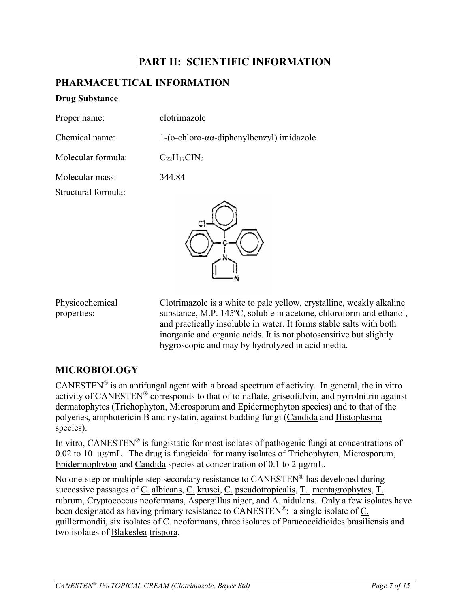# **PART II: SCIENTIFIC INFORMATION**

## <span id="page-6-0"></span>**PHARMACEUTICAL INFORMATION**

#### **Drug Substance**

| Proper name:   | clotrimazole                                                |
|----------------|-------------------------------------------------------------|
| Chemical name: | $1-(o-chloro-\alpha\alpha\text{-diphenylbenzyl})$ imidazole |

Molecular formula:  $C_{22}H_{17}CIN_2$ 

Molecular mass: 344.84

Structural formula:



Physicochemical properties:

Clotrimazole is a white to pale yellow, crystalline, weakly alkaline substance, M.P. 145ºC, soluble in acetone, chloroform and ethanol, and practically insoluble in water. It forms stable salts with both inorganic and organic acids. It is not photosensitive but slightly hygroscopic and may by hydrolyzed in acid media.

## **MICROBIOLOGY**

CANESTEN<sup>®</sup> is an antifungal agent with a broad spectrum of activity. In general, the in vitro activity of CANESTEN® corresponds to that of tolnaftate, griseofulvin, and pyrrolnitrin against dermatophytes (Trichophyton, Microsporum and Epidermophyton species) and to that of the polyenes, amphotericin B and nystatin, against budding fungi (Candida and Histoplasma species).

In vitro, CANESTEN<sup>®</sup> is fungistatic for most isolates of pathogenic fungi at concentrations of 0.02 to 10 μg/mL. The drug is fungicidal for many isolates of Trichophyton, Microsporum, Epidermophyton and Candida species at concentration of 0.1 to 2 μg/mL.

No one-step or multiple-step secondary resistance to CANESTEN® has developed during successive passages of C. albicans, C. krusei, C. pseudotropicalis, T. mentagrophytes, T. rubrum, Cryptococcus neoformans, Aspergillus niger, and A. nidulans. Only a few isolates have been designated as having primary resistance to CANESTEN<sup>®</sup>: a single isolate of C. guillermondii, six isolates of C. neoformans, three isolates of Paracoccidioides brasiliensis and two isolates of Blakeslea trispora.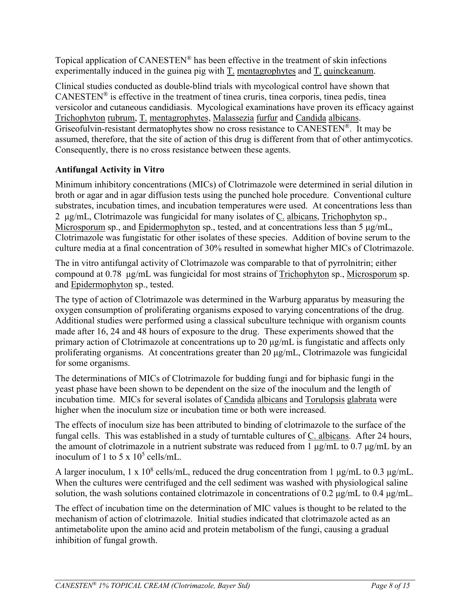Topical application of CANESTEN® has been effective in the treatment of skin infections experimentally induced in the guinea pig with  $T$ . mentagrophytes and  $T$ . quinckeanum.

Clinical studies conducted as double-blind trials with mycological control have shown that  $CANESTEN^{\circledast}$  is effective in the treatment of tinea cruris, tinea corporis, tinea pedis, tinea versicolor and cutaneous candidiasis. Mycological examinations have proven its efficacy against Trichophyton rubrum, T. mentagrophytes, Malassezia furfur and Candida albicans. Griseofulvin-resistant dermatophytes show no cross resistance to CANESTEN®. It may be assumed, therefore, that the site of action of this drug is different from that of other antimycotics. Consequently, there is no cross resistance between these agents.

## **Antifungal Activity in Vitro**

Minimum inhibitory concentrations (MICs) of Clotrimazole were determined in serial dilution in broth or agar and in agar diffusion tests using the punched hole procedure. Conventional culture substrates, incubation times, and incubation temperatures were used. At concentrations less than 2 μg/mL, Clotrimazole was fungicidal for many isolates of C. albicans, Trichophyton sp., Microsporum sp., and Epidermophyton sp., tested, and at concentrations less than 5 μg/mL, Clotrimazole was fungistatic for other isolates of these species. Addition of bovine serum to the culture media at a final concentration of 30% resulted in somewhat higher MICs of Clotrimazole.

The in vitro antifungal activity of Clotrimazole was comparable to that of pyrrolnitrin; either compound at 0.78 μg/mL was fungicidal for most strains of Trichophyton sp., Microsporum sp. and Epidermophyton sp., tested.

The type of action of Clotrimazole was determined in the Warburg apparatus by measuring the oxygen consumption of proliferating organisms exposed to varying concentrations of the drug. Additional studies were performed using a classical subculture technique with organism counts made after 16, 24 and 48 hours of exposure to the drug. These experiments showed that the primary action of Clotrimazole at concentrations up to 20 μg/mL is fungistatic and affects only proliferating organisms. At concentrations greater than 20 μg/mL, Clotrimazole was fungicidal for some organisms.

The determinations of MICs of Clotrimazole for budding fungi and for biphasic fungi in the yeast phase have been shown to be dependent on the size of the inoculum and the length of incubation time. MICs for several isolates of Candida albicans and Torulopsis glabrata were higher when the inoculum size or incubation time or both were increased.

The effects of inoculum size has been attributed to binding of clotrimazole to the surface of the fungal cells. This was established in a study of turntable cultures of C. albicans. After 24 hours, the amount of clotrimazole in a nutrient substrate was reduced from 1 μg/mL to 0.7 μg/mL by an inoculum of 1 to 5 x  $10^5$  cells/mL.

A larger inoculum,  $1 \times 10^8$  cells/mL, reduced the drug concentration from 1  $\mu$ g/mL to 0.3  $\mu$ g/mL. When the cultures were centrifuged and the cell sediment was washed with physiological saline solution, the wash solutions contained clotrimazole in concentrations of 0.2 μg/mL to 0.4 μg/mL.

The effect of incubation time on the determination of MIC values is thought to be related to the mechanism of action of clotrimazole. Initial studies indicated that clotrimazole acted as an antimetabolite upon the amino acid and protein metabolism of the fungi, causing a gradual inhibition of fungal growth.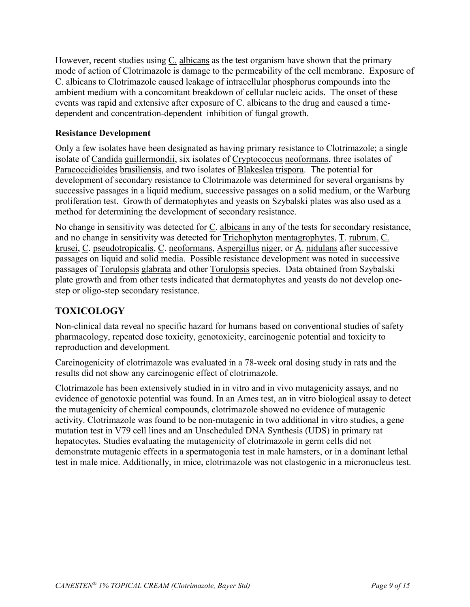<span id="page-8-0"></span>However, recent studies using C. albicans as the test organism have shown that the primary mode of action of Clotrimazole is damage to the permeability of the cell membrane. Exposure of C. albicans to Clotrimazole caused leakage of intracellular phosphorus compounds into the ambient medium with a concomitant breakdown of cellular nucleic acids. The onset of these events was rapid and extensive after exposure of C. albicans to the drug and caused a timedependent and concentration-dependent inhibition of fungal growth.

## **Resistance Development**

Only a few isolates have been designated as having primary resistance to Clotrimazole; a single isolate of Candida guillermondii, six isolates of Cryptococcus neoformans, three isolates of Paracoccidioides brasiliensis, and two isolates of Blakeslea trispora. The potential for development of secondary resistance to Clotrimazole was determined for several organisms by successive passages in a liquid medium, successive passages on a solid medium, or the Warburg proliferation test. Growth of dermatophytes and yeasts on Szybalski plates was also used as a method for determining the development of secondary resistance.

No change in sensitivity was detected for  $C$ . albicans in any of the tests for secondary resistance, and no change in sensitivity was detected for Trichophyton mentagrophytes, T. rubrum, C. krusei, C. pseudotropicalis, C. neoformans, Aspergillus niger, or A. nidulans after successive passages on liquid and solid media. Possible resistance development was noted in successive passages of Torulopsis glabrata and other Torulopsis species. Data obtained from Szybalski plate growth and from other tests indicated that dermatophytes and yeasts do not develop onestep or oligo-step secondary resistance.

# **TOXICOLOGY**

Non-clinical data reveal no specific hazard for humans based on conventional studies of safety pharmacology, repeated dose toxicity, genotoxicity, carcinogenic potential and toxicity to reproduction and development.

Carcinogenicity of clotrimazole was evaluated in a 78-week oral dosing study in rats and the results did not show any carcinogenic effect of clotrimazole.

Clotrimazole has been extensively studied in in vitro and in vivo mutagenicity assays, and no evidence of genotoxic potential was found. In an Ames test, an in vitro biological assay to detect the mutagenicity of chemical compounds, clotrimazole showed no evidence of mutagenic activity. Clotrimazole was found to be non-mutagenic in two additional in vitro studies, a gene mutation test in V79 cell lines and an Unscheduled DNA Synthesis (UDS) in primary rat hepatocytes. Studies evaluating the mutagenicity of clotrimazole in germ cells did not demonstrate mutagenic effects in a spermatogonia test in male hamsters, or in a dominant lethal test in male mice. Additionally, in mice, clotrimazole was not clastogenic in a micronucleus test.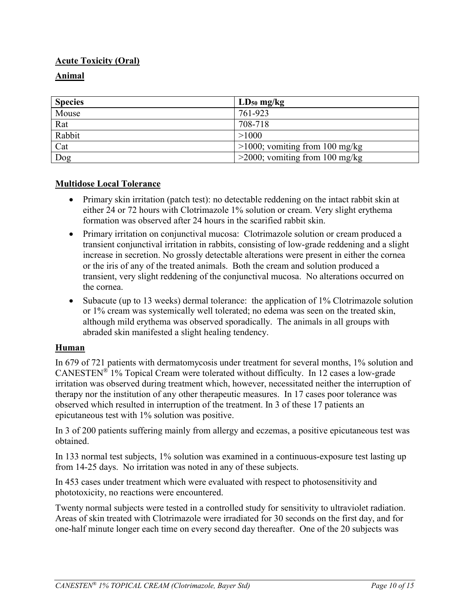# **Acute Toxicity (Oral)**

# **Animal**

| <b>Species</b> | $LD_{50}$ mg/kg                   |
|----------------|-----------------------------------|
| Mouse          | 761-923                           |
| Rat            | 708-718                           |
| Rabbit         | >1000                             |
| Cat            | $>1000$ ; vomiting from 100 mg/kg |
| Dog            | $>$ 2000; vomiting from 100 mg/kg |

### **Multidose Local Tolerance**

- Primary skin irritation (patch test): no detectable reddening on the intact rabbit skin at either 24 or 72 hours with Clotrimazole 1% solution or cream. Very slight erythema formation was observed after 24 hours in the scarified rabbit skin.
- Primary irritation on conjunctival mucosa: Clotrimazole solution or cream produced a transient conjunctival irritation in rabbits, consisting of low-grade reddening and a slight increase in secretion. No grossly detectable alterations were present in either the cornea or the iris of any of the treated animals. Both the cream and solution produced a transient, very slight reddening of the conjunctival mucosa. No alterations occurred on the cornea.
- Subacute (up to 13 weeks) dermal tolerance: the application of 1% Clotrimazole solution or 1% cream was systemically well tolerated; no edema was seen on the treated skin, although mild erythema was observed sporadically. The animals in all groups with abraded skin manifested a slight healing tendency.

## **Human**

In 679 of 721 patients with dermatomycosis under treatment for several months, 1% solution and CANESTEN® 1% Topical Cream were tolerated without difficulty. In 12 cases a low-grade irritation was observed during treatment which, however, necessitated neither the interruption of therapy nor the institution of any other therapeutic measures. In 17 cases poor tolerance was observed which resulted in interruption of the treatment. In 3 of these 17 patients an epicutaneous test with 1% solution was positive.

In 3 of 200 patients suffering mainly from allergy and eczemas, a positive epicutaneous test was obtained.

In 133 normal test subjects, 1% solution was examined in a continuous-exposure test lasting up from 14-25 days. No irritation was noted in any of these subjects.

In 453 cases under treatment which were evaluated with respect to photosensitivity and phototoxicity, no reactions were encountered.

Twenty normal subjects were tested in a controlled study for sensitivity to ultraviolet radiation. Areas of skin treated with Clotrimazole were irradiated for 30 seconds on the first day, and for one-half minute longer each time on every second day thereafter. One of the 20 subjects was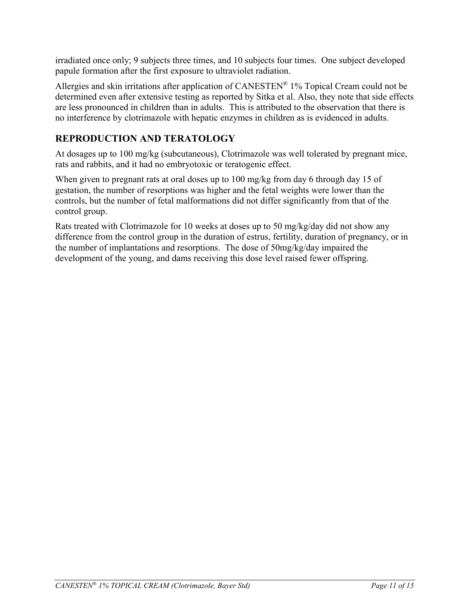<span id="page-10-0"></span>irradiated once only; 9 subjects three times, and 10 subjects four times. One subject developed papule formation after the first exposure to ultraviolet radiation.

Allergies and skin irritations after application of CANESTEN® 1% Topical Cream could not be determined even after extensive testing as reported by Sitka et al. Also, they note that side effects are less pronounced in children than in adults. This is attributed to the observation that there is no interference by clotrimazole with hepatic enzymes in children as is evidenced in adults.

# **REPRODUCTION AND TERATOLOGY**

At dosages up to 100 mg/kg (subcutaneous), Clotrimazole was well tolerated by pregnant mice, rats and rabbits, and it had no embryotoxic or teratogenic effect.

When given to pregnant rats at oral doses up to 100 mg/kg from day 6 through day 15 of gestation, the number of resorptions was higher and the fetal weights were lower than the controls, but the number of fetal malformations did not differ significantly from that of the control group.

Rats treated with Clotrimazole for 10 weeks at doses up to 50 mg/kg/day did not show any difference from the control group in the duration of estrus, fertility, duration of pregnancy, or in the number of implantations and resorptions. The dose of 50mg/kg/day impaired the development of the young, and dams receiving this dose level raised fewer offspring.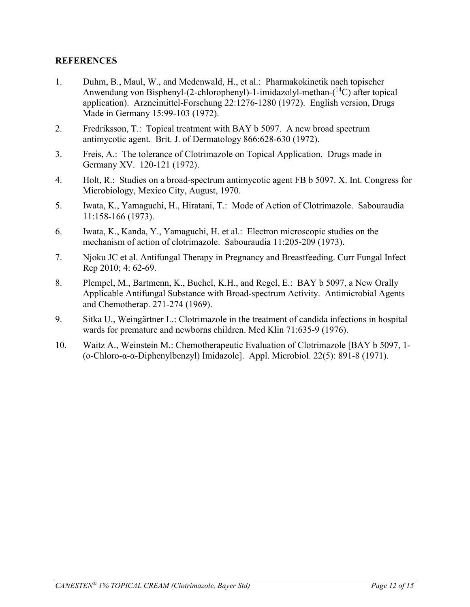#### **REFERENCES**

- 1. Duhm, B., Maul, W., and Medenwald, H., et al.: Pharmakokinetik nach topischer Anwendung von Bisphenyl-(2-chlorophenyl)-1-imidazolyl-methan-( <sup>14</sup>C) after topical application). Arzneimittel-Forschung 22:1276-1280 (1972). English version, Drugs Made in Germany 15:99-103 (1972).
- 2. Fredriksson, T.: Topical treatment with BAY b 5097. A new broad spectrum antimycotic agent. Brit. J. of Dermatology 866:628-630 (1972).
- 3. Freis, A.: The tolerance of Clotrimazole on Topical Application. Drugs made in Germany XV. 120-121 (1972).
- 4. Holt, R.: Studies on a broad-spectrum antimycotic agent FB b 5097. X. Int. Congress for Microbiology, Mexico City, August, 1970.
- 5. Iwata, K., Yamaguchi, H., Hiratani, T.: Mode of Action of Clotrimazole. Sabouraudia 11:158-166 (1973).
- 6. Iwata, K., Kanda, Y., Yamaguchi, H. et al.: Electron microscopic studies on the mechanism of action of clotrimazole. Sabouraudia 11:205-209 (1973).
- 7. Njoku JC et al. Antifungal Therapy in Pregnancy and Breastfeeding. Curr Fungal Infect Rep 2010; 4: 62-69.
- 8. Plempel, M., Bartmenn, K., Buchel, K.H., and Regel, E.: BAY b 5097, a New Orally Applicable Antifungal Substance with Broad-spectrum Activity. Antimicrobial Agents and Chemotherap. 271-274 (1969).
- 9. Sitka U., Weingärtner L.: Clotrimazole in the treatment of candida infections in hospital wards for premature and newborns children. Med Klin 71:635-9 (1976).
- 10. Waitz A., Weinstein M.: Chemotherapeutic Evaluation of Clotrimazole [BAY b 5097, 1- (ο-Chloro-α-α-Diphenylbenzyl) Imidazole]. Appl. Microbiol. 22(5): 891-8 (1971).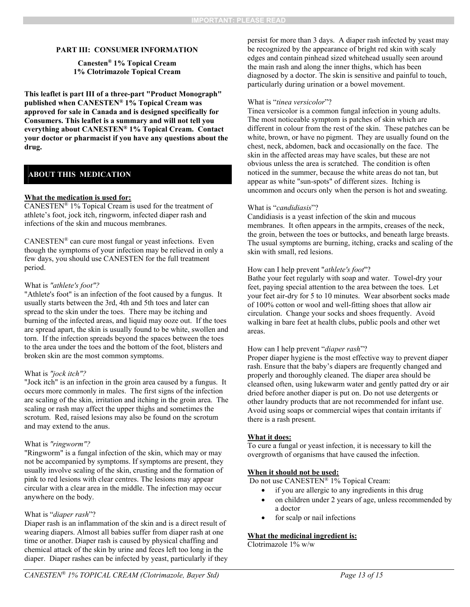#### <span id="page-12-0"></span>**PART III: CONSUMER INFORMATION**

#### **Canesten® 1% Topical Cream 1% Clotrimazole Topical Cream**

**This leaflet is part III of a three-part "Product Monograph" published when CANESTEN® 1% Topical Cream was approved for sale in Canada and is designed specifically for Consumers. This leaflet is a summary and will not tell you everything about CANESTEN® 1% Topical Cream. Contact your doctor or pharmacist if you have any questions about the drug.** 

#### **ABOUT THIS MEDICATION**

#### **What the medication is used for:**

CANESTEN® 1% Topical Cream is used for the treatment of athlete's foot, jock itch, ringworm, infected diaper rash and infections of the skin and mucous membranes.

 $CANESTEN^{\otimes}$  can cure most fungal or yeast infections. Even though the symptoms of your infection may be relieved in only a few days, you should use CANESTEN for the full treatment period.

#### What is *"athlete's foot"?*

"Athlete's foot" is an infection of the foot caused by a fungus. It usually starts between the 3rd, 4th and 5th toes and later can spread to the skin under the toes. There may be itching and burning of the infected areas, and liquid may ooze out. If the toes are spread apart, the skin is usually found to be white, swollen and torn. If the infection spreads beyond the spaces between the toes to the area under the toes and the bottom of the foot, blisters and broken skin are the most common symptoms.

#### What is *"jock itch"?*

"Jock itch" is an infection in the groin area caused by a fungus. It occurs more commonly in males. The first signs of the infection are scaling of the skin, irritation and itching in the groin area. The scaling or rash may affect the upper thighs and sometimes the scrotum. Red, raised lesions may also be found on the scrotum and may extend to the anus.

#### What is *"ringworm"?*

"Ringworm" is a fungal infection of the skin, which may or may not be accompanied by symptoms. If symptoms are present, they usually involve scaling of the skin, crusting and the formation of pink to red lesions with clear centres. The lesions may appear circular with a clear area in the middle. The infection may occur anywhere on the body.

#### What is "*diaper rash*"?

Diaper rash is an inflammation of the skin and is a direct result of wearing diapers. Almost all babies suffer from diaper rash at one time or another. Diaper rash is caused by physical chaffing and chemical attack of the skin by urine and feces left too long in the diaper. Diaper rashes can be infected by yeast, particularly if they persist for more than 3 days. A diaper rash infected by yeast may be recognized by the appearance of bright red skin with scaly edges and contain pinhead sized whitehead usually seen around the main rash and along the inner thighs, which has been diagnosed by a doctor. The skin is sensitive and painful to touch, particularly during urination or a bowel movement.

#### What is "*tinea versicolor*"?

Tinea versicolor is a common fungal infection in young adults. The most noticeable symptom is patches of skin which are different in colour from the rest of the skin. These patches can be white, brown, or have no pigment. They are usually found on the chest, neck, abdomen, back and occasionally on the face. The skin in the affected areas may have scales, but these are not obvious unless the area is scratched. The condition is often noticed in the summer, because the white areas do not tan, but appear as white "sun-spots" of different sizes. Itching is uncommon and occurs only when the person is hot and sweating.

#### What is "*candidiasis*"?

Candidiasis is a yeast infection of the skin and mucous membranes. It often appears in the armpits, creases of the neck, the groin, between the toes or buttocks, and beneath large breasts. The usual symptoms are burning, itching, cracks and scaling of the skin with small, red lesions.

#### How can I help prevent "*athlete's foot*"?

Bathe your feet regularly with soap and water. Towel-dry your feet, paying special attention to the area between the toes. Let your feet air-dry for 5 to 10 minutes. Wear absorbent socks made of 100% cotton or wool and well-fitting shoes that allow air circulation. Change your socks and shoes frequently. Avoid walking in bare feet at health clubs, public pools and other wet areas.

#### How can I help prevent "*diaper rash*"?

Proper diaper hygiene is the most effective way to prevent diaper rash. Ensure that the baby's diapers are frequently changed and properly and thoroughly cleaned. The diaper area should be cleansed often, using lukewarm water and gently patted dry or air dried before another diaper is put on. Do not use detergents or other laundry products that are not recommended for infant use. Avoid using soaps or commercial wipes that contain irritants if there is a rash present.

#### **What it does:**

To cure a fungal or yeast infection, it is necessary to kill the overgrowth of organisms that have caused the infection.

#### **When it should not be used:**

Do not use CANESTEN<sup>®</sup> 1% Topical Cream:

- if you are allergic to any ingredients in this drug
- on children under 2 years of age, unless recommended by a doctor
- for scalp or nail infections

#### **What the medicinal ingredient is:**

Clotrimazole 1% w/w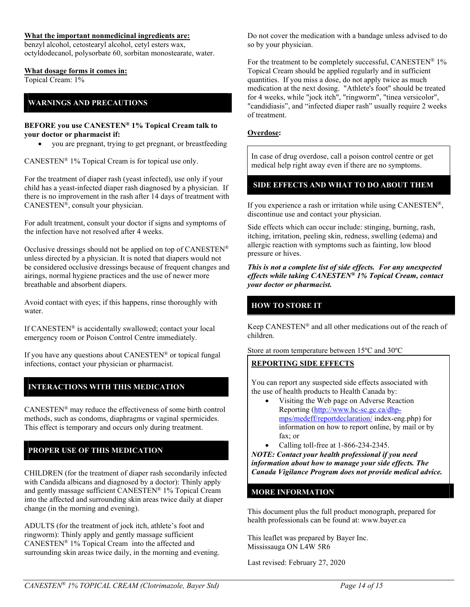#### **What the important nonmedicinal ingredients are:**

benzyl alcohol, cetostearyl alcohol, cetyl esters wax, octyldodecanol, polysorbate 60, sorbitan monostearate, water.

#### **What dosage forms it comes in:**

Topical Cream: 1%

#### **WARNINGS AND PRECAUTIONS**

#### **BEFORE you use CANESTEN® 1% Topical Cream talk to your doctor or pharmacist if:**

you are pregnant, trying to get pregnant, or breastfeeding

CANESTEN® 1% Topical Cream is for topical use only.

For the treatment of diaper rash (yeast infected), use only if your child has a yeast-infected diaper rash diagnosed by a physician. If there is no improvement in the rash after 14 days of treatment with CANESTEN®, consult your physician.

For adult treatment, consult your doctor if signs and symptoms of the infection have not resolved after 4 weeks.

Occlusive dressings should not be applied on top of CANESTEN® unless directed by a physician. It is noted that diapers would not be considered occlusive dressings because of frequent changes and airings, normal hygiene practices and the use of newer more breathable and absorbent diapers.

Avoid contact with eyes; if this happens, rinse thoroughly with water.

If CANESTEN® is accidentally swallowed; contact your local emergency room or Poison Control Centre immediately.

If you have any questions about CANESTEN® or topical fungal infections, contact your physician or pharmacist.

#### **INTERACTIONS WITH THIS MEDICATION**

CANESTEN® may reduce the effectiveness of some birth control methods, such as condoms, diaphragms or vaginal spermicides. This effect is temporary and occurs only during treatment.

#### **PROPER USE OF THIS MEDICATION**

CHILDREN (for the treatment of diaper rash secondarily infected with Candida albicans and diagnosed by a doctor): Thinly apply and gently massage sufficient CANESTEN® 1% Topical Cream into the affected and surrounding skin areas twice daily at diaper change (in the morning and evening).

ADULTS (for the treatment of jock itch, athlete's foot and ringworm): Thinly apply and gently massage sufficient CANESTEN® 1% Topical Cream into the affected and surrounding skin areas twice daily, in the morning and evening. Do not cover the medication with a bandage unless advised to do so by your physician.

For the treatment to be completely successful, CANESTEN<sup>®</sup> 1% Topical Cream should be applied regularly and in sufficient quantities. If you miss a dose, do not apply twice as much medication at the next dosing. "Athlete's foot" should be treated for 4 weeks, while "jock itch", "ringworm", "tinea versicolor", "candidiasis", and "infected diaper rash" usually require 2 weeks of treatment.

#### **Overdose:**

In case of drug overdose, call a poison control centre or get medical help right away even if there are no symptoms.

#### **SIDE EFFECTS AND WHAT TO DO ABOUT THEM**

If you experience a rash or irritation while using  $CANESTEN^{\circledR}$ , discontinue use and contact your physician.

Side effects which can occur include: stinging, burning, rash, itching, irritation, peeling skin, redness, swelling (edema) and allergic reaction with symptoms such as fainting, low blood pressure or hives.

*This is not a complete list of side effects. For any unexpected effects while taking CANESTEN® 1% Topical Cream, contact your doctor or pharmacist.*

#### **HOW TO STORE IT**

Keep CANESTEN® and all other medications out of the reach of children.

Store at room temperature between 15ºC and 30ºC

#### **REPORTING SIDE EFFECTS**

You can report any suspected side effects associated with the use of health products to Health Canada by:

- Visiting the Web page on Adverse Reaction Reporting (http://www.hc-sc.gc.ca/dhpmps/medeff/reportdeclaration/ index-eng.php) for information on how to report online, by mail or by fax; or
- Calling toll-free at 1-866-234-2345.

*NOTE: Contact your health professional if you need information about how to manage your side effects. The Canada Vigilance Program does not provide medical advice.*

#### **MORE INFORMATION**

This document plus the full product monograph, prepared for health professionals can be found at: www.bayer.ca

This leaflet was prepared by Bayer Inc. Mississauga ON L4W 5R6

Last revised: February 27, 2020